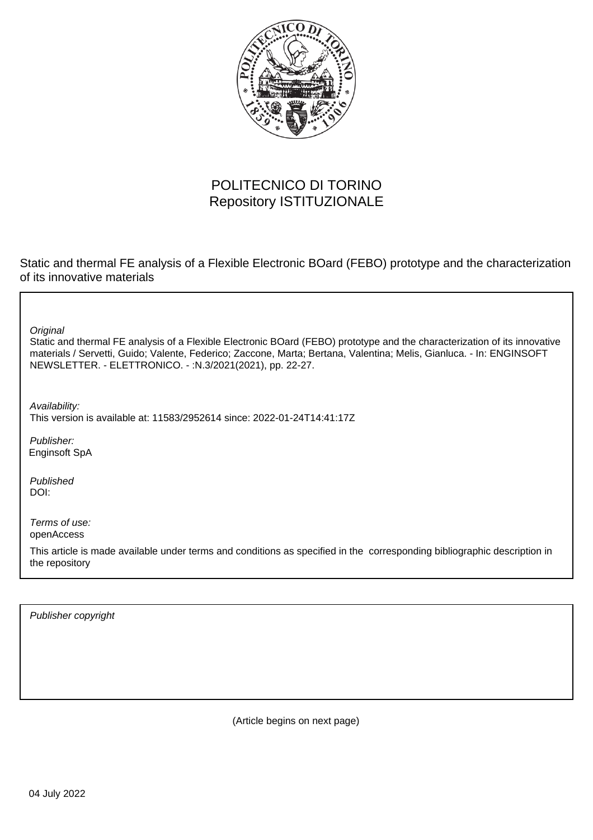

# POLITECNICO DI TORINO Repository ISTITUZIONALE

Static and thermal FE analysis of a Flexible Electronic BOard (FEBO) prototype and the characterization of its innovative materials

**Original** 

Static and thermal FE analysis of a Flexible Electronic BOard (FEBO) prototype and the characterization of its innovative materials / Servetti, Guido; Valente, Federico; Zaccone, Marta; Bertana, Valentina; Melis, Gianluca. - In: ENGINSOFT NEWSLETTER. - ELETTRONICO. - :N.3/2021(2021), pp. 22-27.

Availability: This version is available at: 11583/2952614 since: 2022-01-24T14:41:17Z

Publisher: Enginsoft SpA

Published DOI:

Terms of use: openAccess

This article is made available under terms and conditions as specified in the corresponding bibliographic description in the repository

Publisher copyright

(Article begins on next page)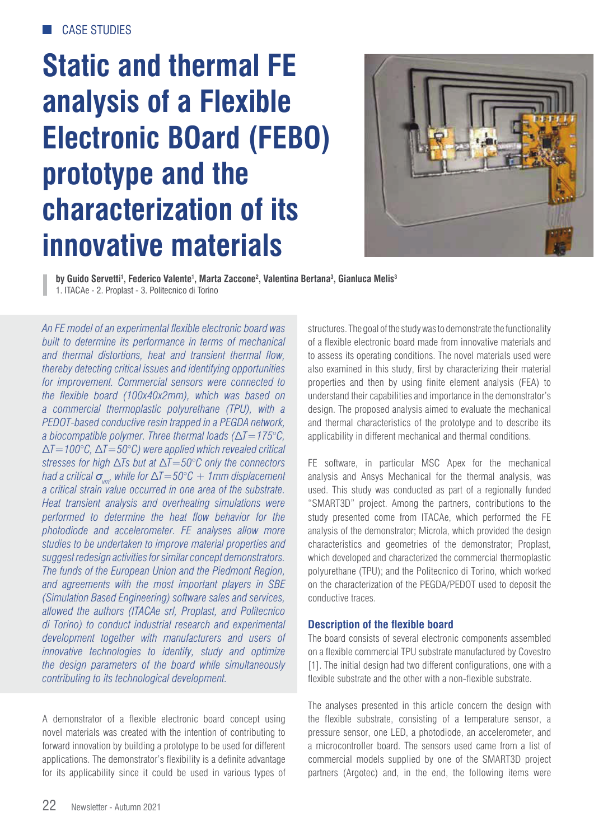# **Static and thermal FE analysis of a Flexible Electronic BOard (FEBO) prototype and the characterization of its innovative materials**



**by Guido Servetti1 , Federico Valente1 , Marta Zaccone2 , Valentina Bertana3 , Gianluca Melis3** 1. ITACAe - 2. Proplast - 3. Politecnico di Torino

*An FE model of an experimental flexible electronic board was built to determine its performance in terms of mechanical and thermal distortions, heat and transient thermal flow, thereby detecting critical issues and identifying opportunities for improvement. Commercial sensors were connected to the flexible board (100x40x2mm), which was based on a commercial thermoplastic polyurethane (TPU), with a PEDOT-based conductive resin trapped in a PEGDA network, a biocompatible polymer. Three thermal loads (ΔT=175°C.*  $\Delta T = 100^{\circ}$ C,  $\Delta T = 50^{\circ}$ C) were applied which revealed critical *stresses for high ∆Ts but at ∆T=50°C only the connectors had a critical*  $\sigma_{\text{max}}$  while for  $\Delta T = 50^{\circ}C + 1$  *mm* displacement *a critical strain value occurred in one area of the substrate. Heat transient analysis and overheating simulations were performed to determine the heat flow behavior for the photodiode and accelerometer. FE analyses allow more studies to be undertaken to improve material properties and suggest redesign activities for similar concept demonstrators. The funds of the European Union and the Piedmont Region, and agreements with the most important players in SBE (Simulation Based Engineering) software sales and services, allowed the authors (ITACAe srl, Proplast, and Politecnico di Torino) to conduct industrial research and experimental development together with manufacturers and users of innovative technologies to identify, study and optimize the design parameters of the board while simultaneously contributing to its technological development.*

A demonstrator of a flexible electronic board concept using novel materials was created with the intention of contributing to forward innovation by building a prototype to be used for different applications. The demonstrator's flexibility is a definite advantage for its applicability since it could be used in various types of structures. The goal of the study was to demonstrate the functionality of a flexible electronic board made from innovative materials and to assess its operating conditions. The novel materials used were also examined in this study, first by characterizing their material properties and then by using finite element analysis (FEA) to understand their capabilities and importance in the demonstrator's design. The proposed analysis aimed to evaluate the mechanical and thermal characteristics of the prototype and to describe its applicability in different mechanical and thermal conditions.

FE software, in particular MSC Apex for the mechanical analysis and Ansys Mechanical for the thermal analysis, was used. This study was conducted as part of a regionally funded "SMART3D" project. Among the partners, contributions to the study presented come from ITACAe, which performed the FE analysis of the demonstrator; Microla, which provided the design characteristics and geometries of the demonstrator; Proplast, which developed and characterized the commercial thermoplastic polyurethane (TPU); and the Politecnico di Torino, which worked on the characterization of the PEGDA/PEDOT used to deposit the conductive traces.

# **Description of the flexible board**

The board consists of several electronic components assembled on a flexible commercial TPU substrate manufactured by Covestro [1]. The initial design had two different configurations, one with a flexible substrate and the other with a non-flexible substrate.

The analyses presented in this article concern the design with the flexible substrate, consisting of a temperature sensor, a pressure sensor, one LED, a photodiode, an accelerometer, and a microcontroller board. The sensors used came from a list of commercial models supplied by one of the SMART3D project partners (Argotec) and, in the end, the following items were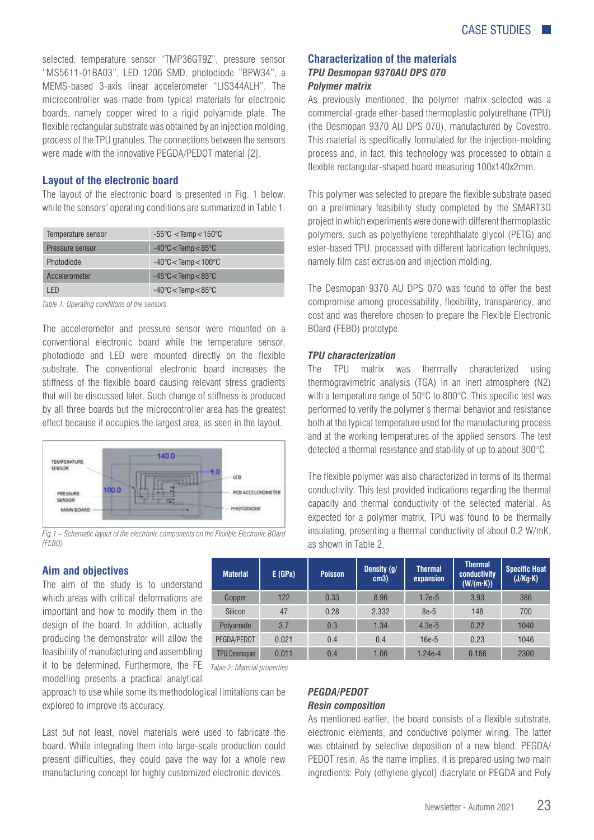selected: temperature sensor "TMP36GT9Z", pressure sensor "MS5611-01BA03", LED 1206 SMD, photodiode "BPW34", a MEMS-based 3-axis linear accelerometer "LIS344ALH". The microcontroller was made from typical materials for electronic boards, namely copper wired to a rigid polyamide plate. The flexible rectangular substrate was obtained by an injection molding process of the TPU granules. The connections between the sensors were made with the innovative PEGDA/PEDOT material [2].

### **Layout of the electronic board**

The layout of the electronic board is presented in Fig. 1 below, while the sensors' operating conditions are summarized in Table 1.

| Temperature sensor | $-55^{\circ}$ C $<$ Temp $<$ 150 $^{\circ}$ C |
|--------------------|-----------------------------------------------|
| Pressure sensor    | $-40^{\circ}$ C $<$ Temp $<$ 85 $^{\circ}$ C  |
| Photodiode         | $-40^{\circ}$ C $<$ Temp $<$ 100 $^{\circ}$ C |
| Accelerometer      | $-45^{\circ}$ C $<$ Temp $<$ 85 $^{\circ}$ C  |
| I FD               | $-40^{\circ}$ C $<$ Temp $<$ 85 $^{\circ}$ C  |

*Table 1: Operating conditions of the sensors.*

The accelerometer and pressure sensor were mounted on a conventional electronic board while the temperature sensor, photodiode and LED were mounted directly on the flexible substrate. The conventional electronic board increases the stiffness of the flexible board causing relevant stress gradients that will be discussed later. Such change of stiffness is produced by all three boards but the microcontroller area has the greatest effect because it occupies the largest area, as seen in the layout.



*Fig.1 – Schematic layout of the electronic components on the Flexible Electronic BOard (FEBO)*

#### **Aim and objectives**

The aim of the study is to understand which areas with critical deformations are important and how to modify them in the design of the board. In addition, actually producing the demonstrator will allow the feasibility of manufacturing and assembling it to be determined. Furthermore, the FE *Table 2: Material properties*modelling presents a practical analytical

| <b>Material</b>     | E(GPa) | <b>Poisson</b> | Density (g/<br>cm3) | <b>Thermal</b><br>expansion | <b>Thermal</b><br>conductivity<br>$(W/(m \cdot K))$ | <b>Specific Heat</b><br>(J/Kg·K) |
|---------------------|--------|----------------|---------------------|-----------------------------|-----------------------------------------------------|----------------------------------|
| Copper              | 122    | 0.33           | 8.96                | $1.7e-5$                    | 3.93                                                | 386                              |
| Silicon             | 47     | 0.28           | 2.332               | 8e-5                        | 148                                                 | 700                              |
| Polyamide           | 3.7    | 0.3            | 1.34                | $4.3e-5$                    | 0.22                                                | 1040                             |
| PEGDA/PEDOT         | 0.021  | 0.4            | 0.4                 | 16e-5                       | 0.23                                                | 1046                             |
| <b>TPU Desmopan</b> | 0.011  | 0.4            | 1.06                | 1.24e-4                     | 0.186                                               | 2300                             |

approach to use while some its methodological limitations can be explored to improve its accuracy.

Last but not least, novel materials were used to fabricate the board. While integrating them into large-scale production could present difficulties, they could pave the way for a whole new manufacturing concept for highly customized electronic devices.

# **Characterization of the materials**  *TPU Desmopan 9370AU DPS 070 Polymer matrix*

As previously mentioned, the polymer matrix selected was a commercial-grade ether-based thermoplastic polyurethane (TPU) (the Desmopan 9370 AU DPS 070), manufactured by Covestro. This material is specifically formulated for the injection-molding process and, in fact, this technology was processed to obtain a flexible rectangular-shaped board measuring 100x140x2mm.

This polymer was selected to prepare the flexible substrate based on a preliminary feasibility study completed by the SMART3D project in which experiments were done with different thermoplastic polymers, such as polyethylene terephthalate glycol (PETG) and ester-based TPU, processed with different fabrication techniques, namely film cast extrusion and injection molding.

The Desmopan 9370 AU DPS 070 was found to offer the best compromise among processability, flexibility, transparency, and cost and was therefore chosen to prepare the Flexible Electronic BOard (FEBO) prototype.

#### *TPU characterization*

The TPU matrix was thermally characterized using thermogravimetric analysis (TGA) in an inert atmosphere (N2) with a temperature range of 50°C to 800°C. This specific test was performed to verify the polymer's thermal behavior and resistance both at the typical temperature used for the manufacturing process and at the working temperatures of the applied sensors. The test detected a thermal resistance and stability of up to about 300°C.

The flexible polymer was also characterized in terms of its thermal conductivity. This test provided indications regarding the thermal capacity and thermal conductivity of the selected material. As expected for a polymer matrix, TPU was found to be thermally insulating, presenting a thermal conductivity of about 0.2 W/mK, as shown in Table 2.

# *PEGDA/PEDOT*

# *Resin composition*

As mentioned earlier, the board consists of a flexible substrate, electronic elements, and conductive polymer wiring. The latter was obtained by selective deposition of a new blend, PEGDA/ PEDOT resin. As the name implies, it is prepared using two main ingredients: Poly (ethylene glycol) diacrylate or PEGDA and Poly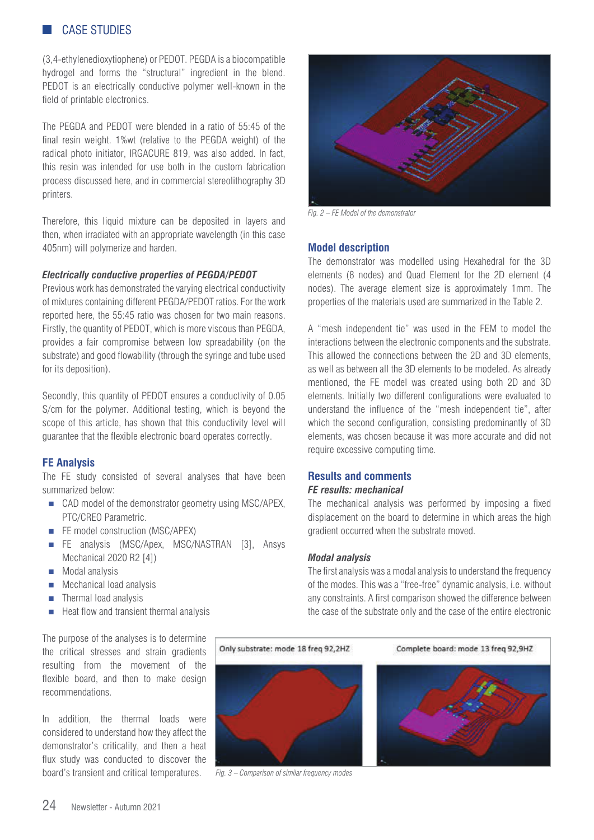# CASE STUDIES

(3,4-ethylenedioxytiophene) or PEDOT. PEGDA is a biocompatible hydrogel and forms the "structural" ingredient in the blend. PEDOT is an electrically conductive polymer well-known in the field of printable electronics.

The PEGDA and PEDOT were blended in a ratio of 55:45 of the final resin weight. 1%wt (relative to the PEGDA weight) of the radical photo initiator, IRGACURE 819, was also added. In fact, this resin was intended for use both in the custom fabrication process discussed here, and in commercial stereolithography 3D printers.

Therefore, this liquid mixture can be deposited in layers and then, when irradiated with an appropriate wavelength (in this case 405nm) will polymerize and harden.

#### *Electrically conductive properties of PEGDA/PEDOT*

Previous work has demonstrated the varying electrical conductivity of mixtures containing different PEGDA/PEDOT ratios. For the work reported here, the 55:45 ratio was chosen for two main reasons. Firstly, the quantity of PEDOT, which is more viscous than PEGDA, provides a fair compromise between low spreadability (on the substrate) and good flowability (through the syringe and tube used for its deposition).

Secondly, this quantity of PEDOT ensures a conductivity of 0.05 S/cm for the polymer. Additional testing, which is beyond the scope of this article, has shown that this conductivity level will guarantee that the flexible electronic board operates correctly.

# **FE Analysis**

The FE study consisted of several analyses that have been summarized below:

- CAD model of the demonstrator geometry using MSC/APEX, PTC/CREO Parametric.
- FE model construction (MSC/APEX)
- FE analysis (MSC/Apex, MSC/NASTRAN [3], Ansys Mechanical 2020 R2 [4])
- **Modal analysis**
- **Mechanical load analysis**
- $\blacksquare$  Thermal load analysis
- $\blacksquare$  Heat flow and transient thermal analysis

The purpose of the analyses is to determine the critical stresses and strain gradients resulting from the movement of the flexible board, and then to make design recommendations.

In addition, the thermal loads were considered to understand how they affect the demonstrator's criticality, and then a heat flux study was conducted to discover the board's transient and critical temperatures.



*Fig. 2 – FE Model of the demonstrator*

# **Model description**

The demonstrator was modelled using Hexahedral for the 3D elements (8 nodes) and Quad Element for the 2D element (4 nodes). The average element size is approximately 1mm. The properties of the materials used are summarized in the Table 2.

A "mesh independent tie" was used in the FEM to model the interactions between the electronic components and the substrate. This allowed the connections between the 2D and 3D elements, as well as between all the 3D elements to be modeled. As already mentioned, the FE model was created using both 2D and 3D elements. Initially two different configurations were evaluated to understand the influence of the "mesh independent tie", after which the second configuration, consisting predominantly of 3D elements, was chosen because it was more accurate and did not require excessive computing time.

# **Results and comments**

# *FE results: mechanical*

The mechanical analysis was performed by imposing a fixed displacement on the board to determine in which areas the high gradient occurred when the substrate moved.

#### *Modal analysis*

The first analysis was a modal analysis to understand the frequency of the modes. This was a "free-free" dynamic analysis, i.e. without any constraints. A first comparison showed the difference between the case of the substrate only and the case of the entire electronic



*Fig. 3 – Comparison of similar frequency modes*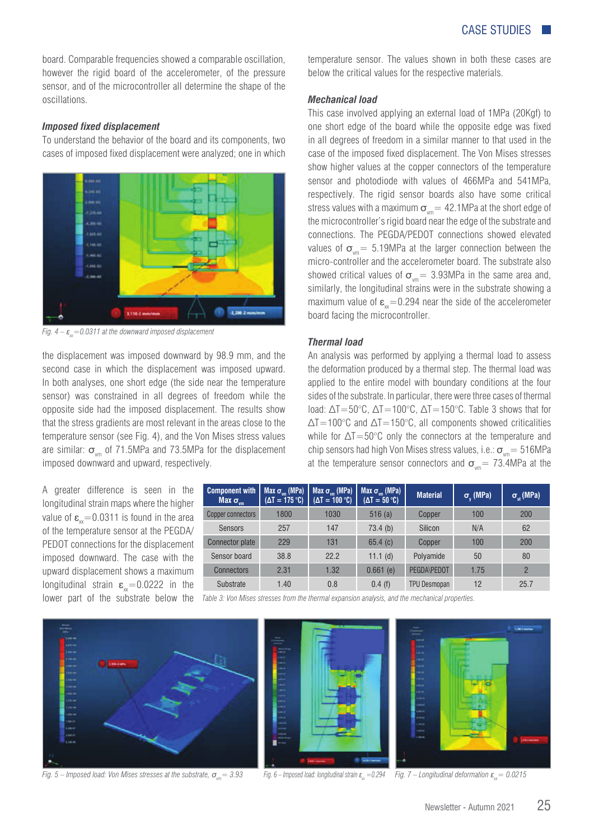board. Comparable frequencies showed a comparable oscillation, however the rigid board of the accelerometer, of the pressure sensor, and of the microcontroller all determine the shape of the oscillations.

### *Imposed fixed displacement*

To understand the behavior of the board and its components, two cases of imposed fixed displacement were analyzed; one in which



*Fig.*  $4 - \varepsilon_{\text{w}} = 0.0311$  at the downward imposed displacement

the displacement was imposed downward by 98.9 mm, and the second case in which the displacement was imposed upward. In both analyses, one short edge (the side near the temperature sensor) was constrained in all degrees of freedom while the opposite side had the imposed displacement. The results show that the stress gradients are most relevant in the areas close to the temperature sensor (see Fig. 4), and the Von Mises stress values are similar:  $\sigma_{\text{vm}}$  of 71.5MPa and 73.5MPa for the displacement imposed downward and upward, respectively.

A greater difference is seen in the longitudinal strain maps where the higher value of  $\varepsilon_{v}$ =0.0311 is found in the area of the temperature sensor at the PEGDA/ PEDOT connections for the displacement imposed downward. The case with the upward displacement shows a maximum longitudinal strain  $\varepsilon_{w}$ =0.0222 in the

**Component with Max**  $σ_$ **Max σ<sub>vm</sub> (MPa)**<br>(ΔT = 175 °C) **Max σ<sub>vm</sub> (MPa)**<br>(ΔT = 100 ℃)  $M$ ax  $\sigma_{\text{vm}}$  (MPa) **discript** Material **discription**  $\sigma_{\text{y}}$  $\sigma_{\rm v}$  (MPa)  $\sigma_{\rm ut}$  (MPa) Copper connectors | 1800 | 1030 | 516 (a) | Copper | 100 | 200 Sensors | 257 147 73.4 (b) Silicon N/A | 62 Connector plate 229 131 65.4 (c) Copper 100 200 Sensor board 38.8 22.2 11.1 (d) Polyamide 50 80 Connectors 2.31 1.32 0.661 (e) PEGDA\PEDOT 1.75 2 Substrate 1.40 0.8 0.4 (f) TPU Desmopan 12 25.7

lower part of the substrate below the Table 3: Von Mises stresses from the thermal expansion analysis, and the mechanical properties.



*Fig. 5 – Imposed load: Von Mises stresses at the substrate,*  $\sigma_m = 3.93$ 





*Fig.* 6 – Imposed load: longitudinal strain  $\varepsilon_{w} = 0.294$  *Fig.* 7 – Longitudinal deformation  $\varepsilon_{w} = 0.0215$ 

temperature sensor. The values shown in both these cases are below the critical values for the respective materials.

#### *Mechanical load*

This case involved applying an external load of 1MPa (20Kgf) to one short edge of the board while the opposite edge was fixed in all degrees of freedom in a similar manner to that used in the case of the imposed fixed displacement. The Von Mises stresses show higher values at the copper connectors of the temperature sensor and photodiode with values of 466MPa and 541MPa, respectively. The rigid sensor boards also have some critical stress values with a maximum  $\sigma_{\text{vm}}$  = 42.1MPa at the short edge of the microcontroller's rigid board near the edge of the substrate and connections. The PEGDA/PEDOT connections showed elevated values of  $\sigma_{\text{max}} = 5.19 \text{ MPa}$  at the larger connection between the micro-controller and the accelerometer board. The substrate also showed critical values of  $\sigma_{\text{vm}}$  = 3.93MPa in the same area and, similarly, the longitudinal strains were in the substrate showing a maximum value of  $\varepsilon_{xx}=0.294$  near the side of the accelerometer board facing the microcontroller.

#### *Thermal load*

An analysis was performed by applying a thermal load to assess the deformation produced by a thermal step. The thermal load was applied to the entire model with boundary conditions at the four sides of the substrate. In particular, there were three cases of thermal load:  $\Delta T = 50^{\circ}$ C,  $\Delta T = 100^{\circ}$ C,  $\Delta T = 150^{\circ}$ C. Table 3 shows that for  $\Delta T = 100^{\circ}$ C and  $\Delta T = 150^{\circ}$ C, all components showed criticalities while for  $\Delta T = 50^{\circ}$ C only the connectors at the temperature and chip sensors had high Von Mises stress values, i.e.:  $\sigma_{\text{max}} = 516\text{MPa}$ at the temperature sensor connectors and  $\sigma_{\text{v}m}$  = 73.4MPa at the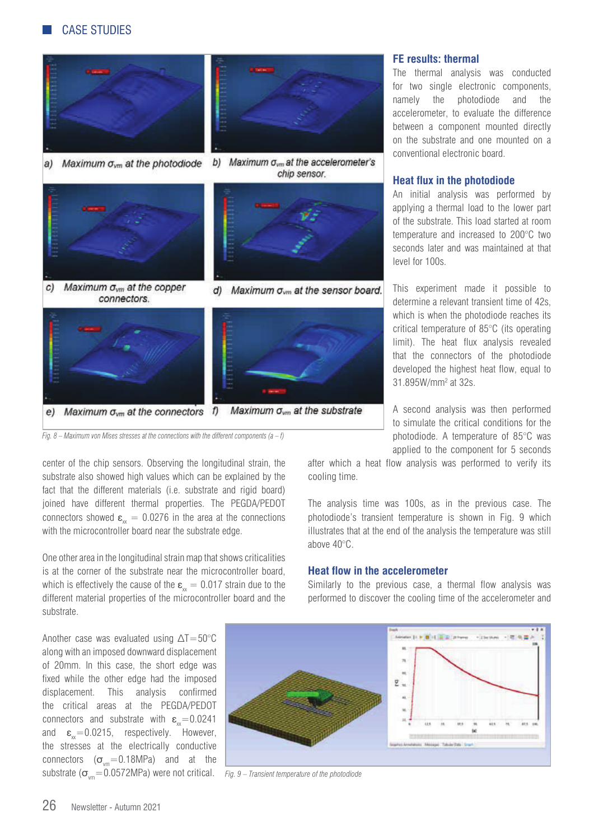

*Fig. 8 – Maximum von Mises stresses at the connections with the different components (a – f)*

center of the chip sensors. Observing the longitudinal strain, the substrate also showed high values which can be explained by the fact that the different materials (i.e. substrate and rigid board) joined have different thermal properties. The PEGDA/PEDOT connectors showed  $\epsilon_{w} = 0.0276$  in the area at the connections with the microcontroller board near the substrate edge.

One other area in the longitudinal strain map that shows criticalities is at the corner of the substrate near the microcontroller board, which is effectively the cause of the  $\varepsilon_{x} = 0.017$  strain due to the different material properties of the microcontroller board and the substrate.

 $\sigma_{\rm syn}$  =0.0572MPa) were not critical.  $\;\;$  *Fig. 9 – Transient temperature of the photodiode* Another case was evaluated using  $\Delta T = 50^{\circ}$ C along with an imposed downward displacement of 20mm. In this case, the short edge was fixed while the other edge had the imposed displacement. This analysis confirmed the critical areas at the PEGDA/PEDOT connectors and substrate with  $\varepsilon_{w}=0.0241$ and  $\varepsilon_{\text{w}}$ =0.0215, respectively. However, the stresses at the electrically conductive connectors  $(\sigma_{\text{vm}}=0.18\text{MPa})$  and at the



chip sensor.



d) Maximum  $\sigma_{vm}$  at the sensor board.



#### **FE results: thermal**

The thermal analysis was conducted for two single electronic components, namely the photodiode and the accelerometer, to evaluate the difference between a component mounted directly on the substrate and one mounted on a conventional electronic board.

#### **Heat flux in the photodiode**

An initial analysis was performed by applying a thermal load to the lower part of the substrate. This load started at room temperature and increased to 200°C two seconds later and was maintained at that level for 100s.

This experiment made it possible to determine a relevant transient time of 42s, which is when the photodiode reaches its critical temperature of 85°C (its operating limit). The heat flux analysis revealed that the connectors of the photodiode developed the highest heat flow, equal to 31.895W/mm2 at 32s.

A second analysis was then performed to simulate the critical conditions for the photodiode. A temperature of 85°C was applied to the component for 5 seconds

after which a heat flow analysis was performed to verify its cooling time.

The analysis time was 100s, as in the previous case. The photodiode's transient temperature is shown in Fig. 9 which illustrates that at the end of the analysis the temperature was still above 40°C.

#### **Heat flow in the accelerometer**

Similarly to the previous case, a thermal flow analysis was performed to discover the cooling time of the accelerometer and